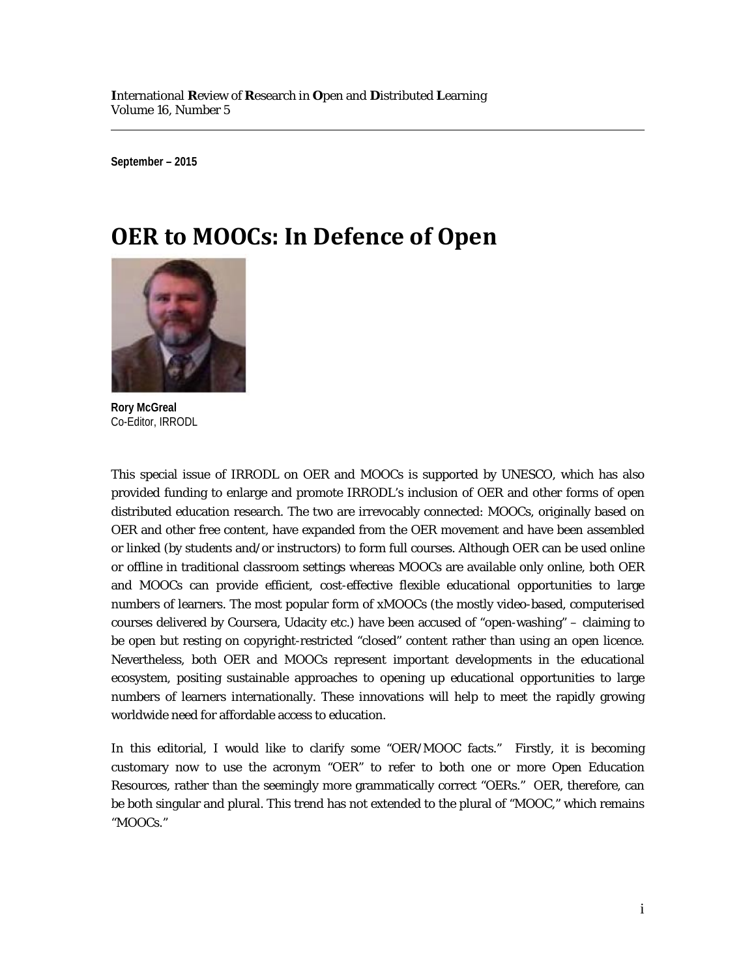**September – 2015**

## **OER to MOOCs: In Defence of Open**



**Rory McGreal** Co-Editor, IRRODL

This special issue of IRRODL on OER and MOOCs is supported by UNESCO, which has also provided funding to enlarge and promote IRRODL's inclusion of OER and other forms of open distributed education research. The two are irrevocably connected: MOOCs, originally based on OER and other free content, have expanded from the OER movement and have been assembled or linked (by students and/or instructors) to form full courses. Although OER can be used online or offline in traditional classroom settings whereas MOOCs are available only online, both OER and MOOCs can provide efficient, cost-effective flexible educational opportunities to large numbers of learners. The most popular form of xMOOCs (the mostly video-based, computerised courses delivered by Coursera, Udacity etc.) have been accused of "open-washing" – claiming to be open but resting on copyright-restricted "closed" content rather than using an open licence. Nevertheless, both OER and MOOCs represent important developments in the educational ecosystem, positing sustainable approaches to opening up educational opportunities to large numbers of learners internationally. These innovations will help to meet the rapidly growing worldwide need for affordable access to education.

In this editorial, I would like to clarify some "OER/MOOC facts." Firstly, it is becoming customary now to use the acronym "OER" to refer to both one or more Open Education Resources, rather than the seemingly more grammatically correct "OERs." OER, therefore, can be both singular and plural. This trend has not extended to the plural of "MOOC," which remains "MOOCs."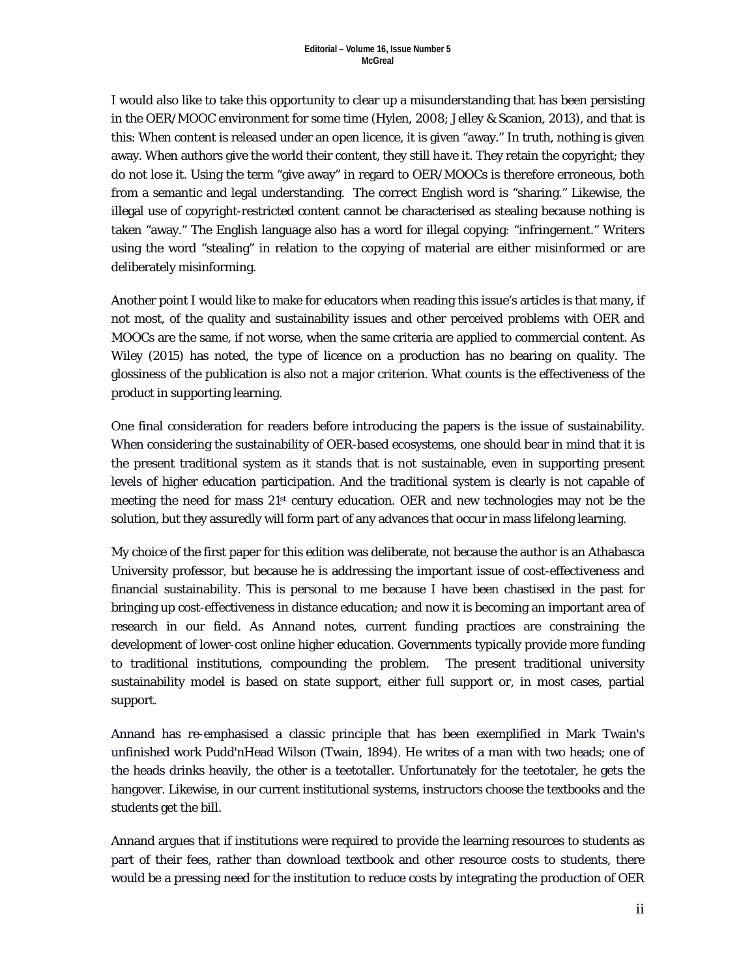I would also like to take this opportunity to clear up a misunderstanding that has been persisting in the OER/MOOC environment for some time (Hylen, 2008; Jelley & Scanion, 2013), and that is this: When content is released under an open licence, it is given "away." In truth, nothing is given away. When authors give the world their content, they still have it. They retain the copyright; they do not lose it. Using the term "give away" in regard to OER/MOOCs is therefore erroneous, both from a semantic and legal understanding. The correct English word is "sharing." Likewise, the illegal use of copyright-restricted content cannot be characterised as stealing because nothing is taken "away." The English language also has a word for illegal copying: "infringement." Writers using the word "stealing" in relation to the copying of material are either misinformed or are deliberately misinforming.

Another point I would like to make for educators when reading this issue's articles is that many, if not most, of the quality and sustainability issues and other perceived problems with OER and MOOCs are the same, if not worse, when the same criteria are applied to commercial content. As Wiley (2015) has noted, the type of licence on a production has no bearing on quality. The glossiness of the publication is also not a major criterion. What counts is the effectiveness of the product in supporting learning.

One final consideration for readers before introducing the papers is the issue of sustainability. When considering the sustainability of OER-based ecosystems, one should bear in mind that it is the present traditional system as it stands that is not sustainable, even in supporting present levels of higher education participation. And the traditional system is clearly is not capable of meeting the need for mass 21st century education. OER and new technologies may not be the solution, but they assuredly will form part of any advances that occur in mass lifelong learning.

My choice of the first paper for this edition was deliberate, not because the author is an Athabasca University professor, but because he is addressing the important issue of cost-effectiveness and financial sustainability. This is personal to me because I have been chastised in the past for bringing up cost-effectiveness in distance education; and now it is becoming an important area of research in our field. As Annand notes, current funding practices are constraining the development of lower-cost online higher education. Governments typically provide more funding to traditional institutions, compounding the problem. The present traditional university sustainability model is based on state support, either full support or, in most cases, partial support.

Annand has re-emphasised a classic principle that has been exemplified in Mark Twain's unfinished work Pudd'nHead Wilson (Twain, 1894). He writes of a man with two heads; one of the heads drinks heavily, the other is a teetotaller. Unfortunately for the teetotaler, he gets the hangover. Likewise, in our current institutional systems, instructors choose the textbooks and the students get the bill.

Annand argues that if institutions were required to provide the learning resources to students as part of their fees, rather than download textbook and other resource costs to students, there would be a pressing need for the institution to reduce costs by integrating the production of OER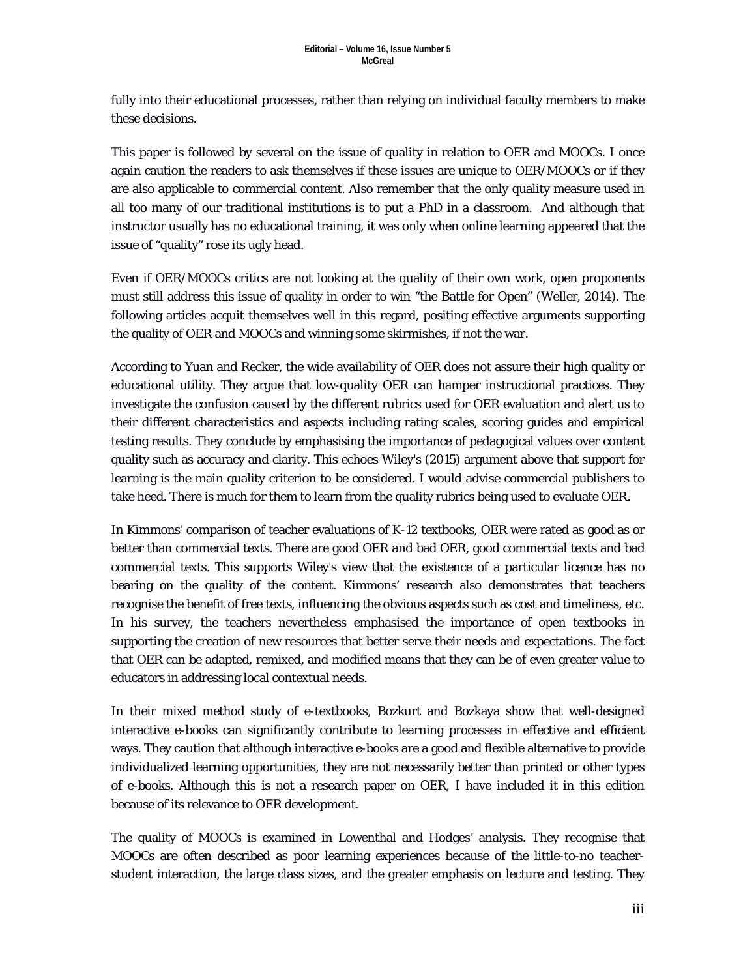fully into their educational processes, rather than relying on individual faculty members to make these decisions.

This paper is followed by several on the issue of quality in relation to OER and MOOCs. I once again caution the readers to ask themselves if these issues are unique to OER/MOOCs or if they are also applicable to commercial content. Also remember that the only quality measure used in all too many of our traditional institutions is to put a PhD in a classroom. And although that instructor usually has no educational training, it was only when online learning appeared that the issue of "quality" rose its ugly head.

Even if OER/MOOCs critics are not looking at the quality of their own work, open proponents must still address this issue of quality in order to win "the Battle for Open" (Weller, 2014). The following articles acquit themselves well in this regard, positing effective arguments supporting the quality of OER and MOOCs and winning some skirmishes, if not the war.

According to Yuan and Recker, the wide availability of OER does not assure their high quality or educational utility. They argue that low-quality OER can hamper instructional practices. They investigate the confusion caused by the different rubrics used for OER evaluation and alert us to their different characteristics and aspects including rating scales, scoring guides and empirical testing results. They conclude by emphasising the importance of pedagogical values over content quality such as accuracy and clarity. This echoes Wiley's (2015) argument above that support for learning is the main quality criterion to be considered. I would advise commercial publishers to take heed. There is much for them to learn from the quality rubrics being used to evaluate OER.

In Kimmons' comparison of teacher evaluations of K-12 textbooks, OER were rated as good as or better than commercial texts. There are good OER and bad OER, good commercial texts and bad commercial texts. This supports Wiley's view that the existence of a particular licence has no bearing on the quality of the content. Kimmons' research also demonstrates that teachers recognise the benefit of free texts, influencing the obvious aspects such as cost and timeliness, etc. In his survey, the teachers nevertheless emphasised the importance of open textbooks in supporting the creation of new resources that better serve their needs and expectations. The fact that OER can be adapted, remixed, and modified means that they can be of even greater value to educators in addressing local contextual needs.

In their mixed method study of e-textbooks, Bozkurt and Bozkaya show that well-designed interactive e-books can significantly contribute to learning processes in effective and efficient ways. They caution that although interactive e-books are a good and flexible alternative to provide individualized learning opportunities, they are not necessarily better than printed or other types of e-books. Although this is not a research paper on OER, I have included it in this edition because of its relevance to OER development.

The quality of MOOCs is examined in Lowenthal and Hodges' analysis. They recognise that MOOCs are often described as poor learning experiences because of the little-to-no teacherstudent interaction, the large class sizes, and the greater emphasis on lecture and testing. They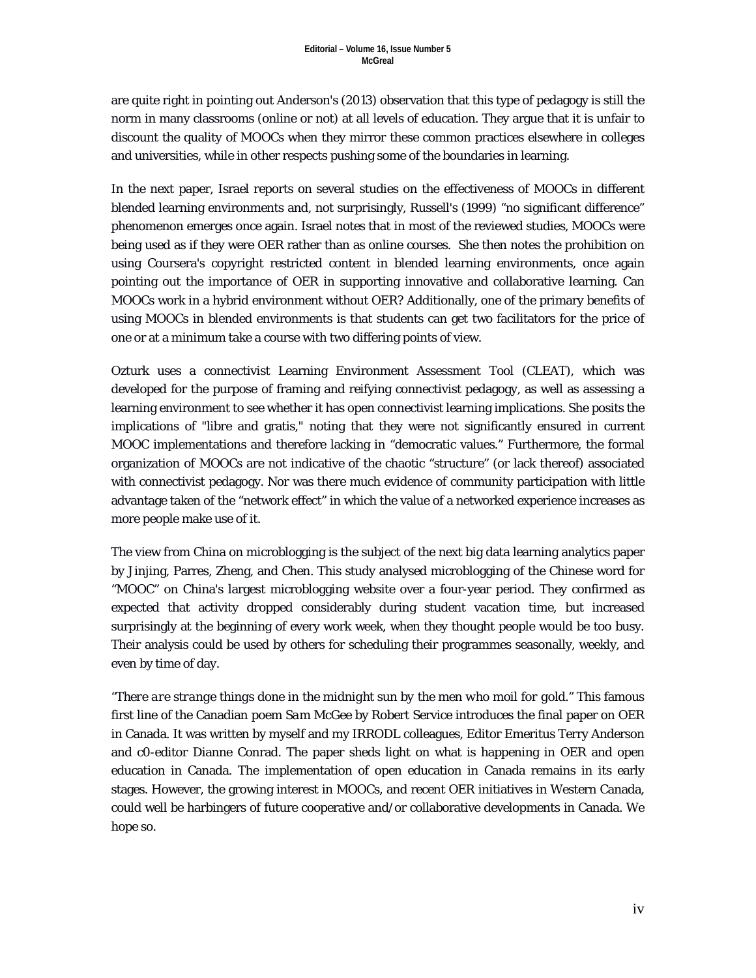are quite right in pointing out Anderson's (2013) observation that this type of pedagogy is still the norm in many classrooms (online or not) at all levels of education. They argue that it is unfair to discount the quality of MOOCs when they mirror these common practices elsewhere in colleges and universities, while in other respects pushing some of the boundaries in learning.

In the next paper, Israel reports on several studies on the effectiveness of MOOCs in different blended learning environments and, not surprisingly, Russell's (1999) "no significant difference" phenomenon emerges once again. Israel notes that in most of the reviewed studies, MOOCs were being used as if they were OER rather than as online courses. She then notes the prohibition on using Coursera's copyright restricted content in blended learning environments, once again pointing out the importance of OER in supporting innovative and collaborative learning. Can MOOCs work in a hybrid environment without OER? Additionally, one of the primary benefits of using MOOCs in blended environments is that students can get two facilitators for the price of one or at a minimum take a course with two differing points of view.

Ozturk uses a connectivist Learning Environment Assessment Tool (CLEAT), which was developed for the purpose of framing and reifying connectivist pedagogy, as well as assessing a learning environment to see whether it has open connectivist learning implications. She posits the implications of "libre and gratis," noting that they were not significantly ensured in current MOOC implementations and therefore lacking in "democratic values." Furthermore, the formal organization of MOOCs are not indicative of the chaotic "structure" (or lack thereof) associated with connectivist pedagogy. Nor was there much evidence of community participation with little advantage taken of the "network effect" in which the value of a networked experience increases as more people make use of it.

The view from China on microblogging is the subject of the next big data learning analytics paper by Jinjing, Parres, Zheng, and Chen. This study analysed microblogging of the Chinese word for "MOOC" on China's largest microblogging website over a four-year period. They confirmed as expected that activity dropped considerably during student vacation time, but increased surprisingly at the beginning of every work week, when they thought people would be too busy. Their analysis could be used by others for scheduling their programmes seasonally, weekly, and even by time of day.

*"There are strange things done in the midnight sun by the men who moil for gold."* This famous first line of the Canadian poem *Sam McGee* by Robert Service introduces the final paper on OER in Canada. It was written by myself and my IRRODL colleagues, Editor Emeritus Terry Anderson and c0-editor Dianne Conrad. The paper sheds light on what is happening in OER and open education in Canada. The implementation of open education in Canada remains in its early stages. However, the growing interest in MOOCs, and recent OER initiatives in Western Canada, could well be harbingers of future cooperative and/or collaborative developments in Canada. We hope so.